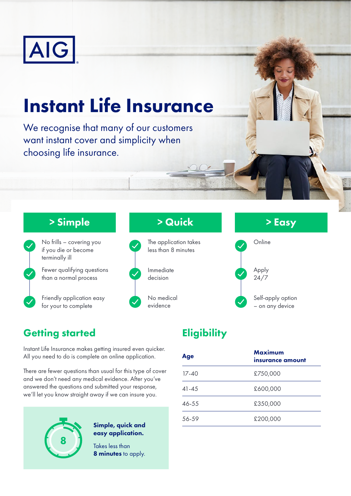

# Instant Life Insurance

We recognise that many of our customers want instant cover and simplicity when choosing life insurance.

### > Simple



No frills – covering you if you die or become terminally ill Fewer qualifying questions than a normal process

Friendly application easy for your to complete

## The application takes less than 8 minutes Immediate decision No medical evidence

# > Quick



# > Easy



## **Getting started**

Instant Life Insurance makes getting insured even quicker. All you need to do is complete an online application.

There are fewer questions than usual for this type of cover and we don't need any medical evidence. After you've answered the questions and submitted your response, we'll let you know straight away if we can insure you.



#### Simple, quick and easy application.

Takes less than 8 minutes to apply.

## **Eligibility**

| Age       | Maximum<br>insurance amount |
|-----------|-----------------------------|
| $17-40$   | £750,000                    |
| $41 - 45$ | £600,000                    |
| 46-55     | £350,000                    |
| 56-59     | £200,000                    |